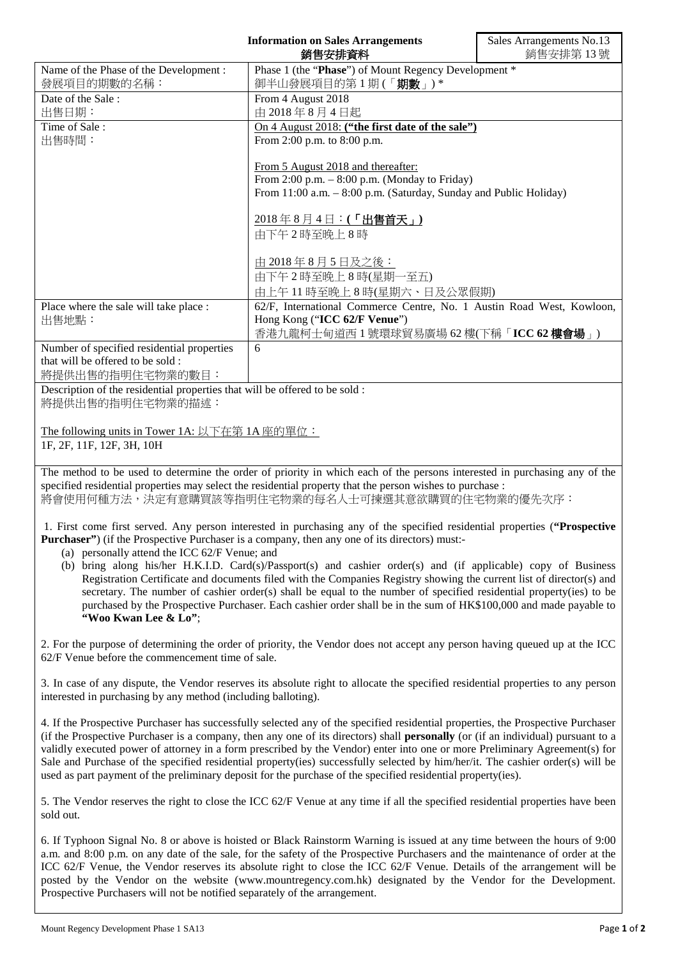|                                                                            | <b>Information on Sales Arrangements</b>                              | Sales Arrangements No.13 |
|----------------------------------------------------------------------------|-----------------------------------------------------------------------|--------------------------|
| 銷售安排資料                                                                     |                                                                       | 銷售安排第13號                 |
| Name of the Phase of the Development:                                      | Phase 1 (the "Phase") of Mount Regency Development *                  |                          |
| 發展項目的期數的名稱:                                                                | 御半山發展項目的第1期(「期數」)*                                                    |                          |
| Date of the Sale:                                                          | From 4 August 2018                                                    |                          |
| 出售日期:                                                                      | 由 2018年8月4日起                                                          |                          |
| Time of Sale:                                                              | On 4 August 2018: ("the first date of the sale")                      |                          |
| 出售時間:                                                                      | From 2:00 p.m. to 8:00 p.m.                                           |                          |
|                                                                            |                                                                       |                          |
|                                                                            | From 5 August 2018 and thereafter:                                    |                          |
|                                                                            | From $2:00$ p.m. $-8:00$ p.m. (Monday to Friday)                      |                          |
|                                                                            | From 11:00 a.m. - 8:00 p.m. (Saturday, Sunday and Public Holiday)     |                          |
|                                                                            |                                                                       |                          |
|                                                                            | 2018年8月4日:(「出售首天」)                                                    |                          |
|                                                                            | 由下午2時至晚上8時                                                            |                          |
|                                                                            |                                                                       |                          |
|                                                                            | <u>由 2018年8月5日及之後:</u>                                                |                          |
|                                                                            | 由下午2時至晚上8時(星期一至五)                                                     |                          |
|                                                                            | 由上午11時至晚上8時(星期六、日及公眾假期)                                               |                          |
| Place where the sale will take place :                                     | 62/F, International Commerce Centre, No. 1 Austin Road West, Kowloon, |                          |
| 出售地點:                                                                      | Hong Kong ("ICC 62/F Venue")                                          |                          |
|                                                                            | 香港九龍柯士甸道西 1 號環球貿易廣場 62 樓(下稱「ICC 62 樓會場」)                              |                          |
| Number of specified residential properties                                 | 6                                                                     |                          |
| that will be offered to be sold:                                           |                                                                       |                          |
| 將提供出售的指明住宅物業的數目:                                                           |                                                                       |                          |
| Description of the residential properties that will be offered to be sold: |                                                                       |                          |
| 將提供出售的指明住宅物業的描述:                                                           |                                                                       |                          |
|                                                                            |                                                                       |                          |

The following units in Tower 1A: 以下在第 1A 座的單位:

1F, 2F, 11F, 12F, 3H, 10H

The method to be used to determine the order of priority in which each of the persons interested in purchasing any of the specified residential properties may select the residential property that the person wishes to purchase : 將會使用何種方法,決定有意購買該等指明住宅物業的每名人士可揀選其意欲購買的住宅物業的優先次序:

1. First come first served. Any person interested in purchasing any of the specified residential properties (**"Prospective Purchaser"**) (if the Prospective Purchaser is a company, then any one of its directors) must:-

(a) personally attend the ICC 62/F Venue; and

(b) bring along his/her H.K.I.D. Card(s)/Passport(s) and cashier order(s) and (if applicable) copy of Business Registration Certificate and documents filed with the Companies Registry showing the current list of director(s) and secretary. The number of cashier order(s) shall be equal to the number of specified residential property(ies) to be purchased by the Prospective Purchaser. Each cashier order shall be in the sum of HK\$100,000 and made payable to **"Woo Kwan Lee & Lo"**;

2. For the purpose of determining the order of priority, the Vendor does not accept any person having queued up at the ICC 62/F Venue before the commencement time of sale.

3. In case of any dispute, the Vendor reserves its absolute right to allocate the specified residential properties to any person interested in purchasing by any method (including balloting).

4. If the Prospective Purchaser has successfully selected any of the specified residential properties, the Prospective Purchaser (if the Prospective Purchaser is a company, then any one of its directors) shall **personally** (or (if an individual) pursuant to a validly executed power of attorney in a form prescribed by the Vendor) enter into one or more Preliminary Agreement(s) for Sale and Purchase of the specified residential property(ies) successfully selected by him/her/it. The cashier order(s) will be used as part payment of the preliminary deposit for the purchase of the specified residential property(ies).

5. The Vendor reserves the right to close the ICC 62/F Venue at any time if all the specified residential properties have been sold out.

6. If Typhoon Signal No. 8 or above is hoisted or Black Rainstorm Warning is issued at any time between the hours of 9:00 a.m. and 8:00 p.m. on any date of the sale, for the safety of the Prospective Purchasers and the maintenance of order at the ICC 62/F Venue, the Vendor reserves its absolute right to close the ICC 62/F Venue. Details of the arrangement will be posted by the Vendor on the website (www.mountregency.com.hk) designated by the Vendor for the Development. Prospective Purchasers will not be notified separately of the arrangement.